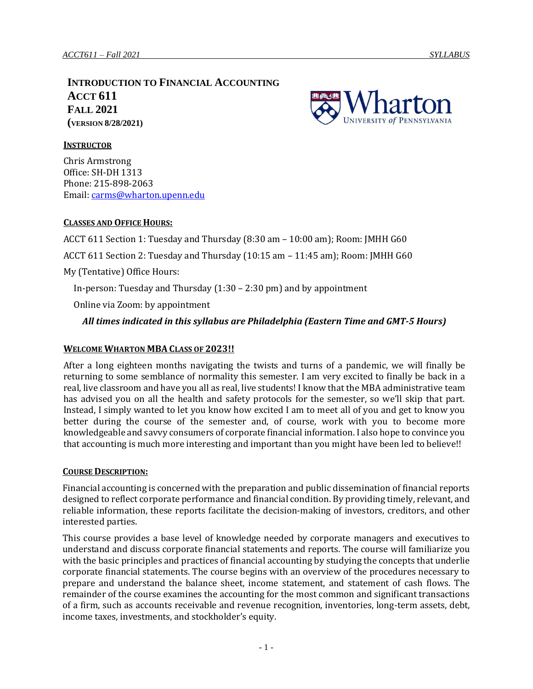**INTRODUCTION TO FINANCIAL ACCOUNTING ACCT 611 FALL 2021 (VERSION 8/28/2021)**



#### **INSTRUCTOR**

Chris Armstrong Office: SH-DH 1313 Phone: 215-898-2063 Email: [carms@wharton.upenn.edu](mailto:carms@wharton.upenn.edu) 

#### **CLASSES AND OFFICE HOURS:**

ACCT 611 Section 1: Tuesday and Thursday (8:30 am – 10:00 am); Room: JMHH G60 ACCT 611 Section 2: Tuesday and Thursday (10:15 am – 11:45 am); Room: JMHH G60 My (Tentative) Office Hours: In-person: Tuesday and Thursday  $(1:30 - 2:30 \text{ pm})$  and by appointment Online via Zoom: by appointment *All times indicated in this syllabus are Philadelphia (Eastern Time and GMT-5 Hours)*

#### **WELCOME WHARTON MBACLASS OF 2023!!**

After a long eighteen months navigating the twists and turns of a pandemic, we will finally be returning to some semblance of normality this semester. I am very excited to finally be back in a real, live classroom and have you all as real, live students! I know that the MBA administrative team has advised you on all the health and safety protocols for the semester, so we'll skip that part. Instead, I simply wanted to let you know how excited I am to meet all of you and get to know you better during the course of the semester and, of course, work with you to become more knowledgeable and savvy consumers of corporate financial information. I also hope to convince you that accounting is much more interesting and important than you might have been led to believe!!

#### **COURSE DESCRIPTION:**

Financial accounting is concerned with the preparation and public dissemination of financial reports designed to reflect corporate performance and financial condition. By providing timely, relevant, and reliable information, these reports facilitate the decision-making of investors, creditors, and other interested parties.

This course provides a base level of knowledge needed by corporate managers and executives to understand and discuss corporate financial statements and reports. The course will familiarize you with the basic principles and practices of financial accounting by studying the concepts that underlie corporate financial statements. The course begins with an overview of the procedures necessary to prepare and understand the balance sheet, income statement, and statement of cash flows. The remainder of the course examines the accounting for the most common and significant transactions of a firm, such as accounts receivable and revenue recognition, inventories, long-term assets, debt, income taxes, investments, and stockholder's equity.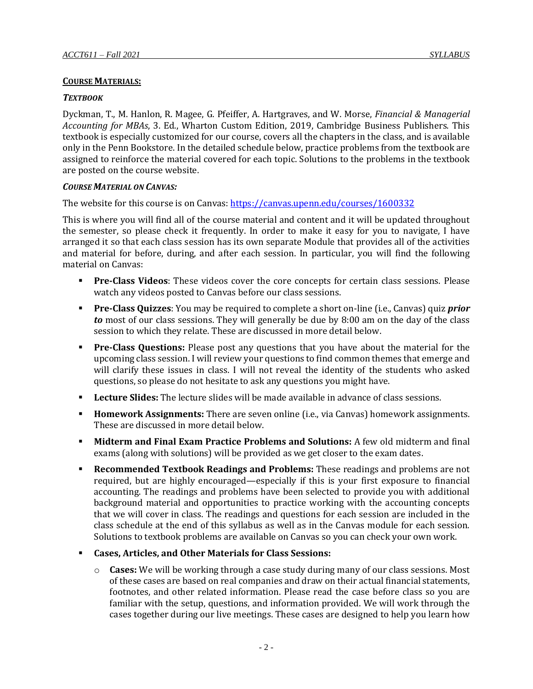## **COURSE MATERIALS:**

#### *TEXTBOOK*

Dyckman, T., M. Hanlon, R. Magee, G. Pfeiffer, A. Hartgraves, and W. Morse, *Financial & Managerial Accounting for MBAs*, 3. Ed., Wharton Custom Edition, 2019, Cambridge Business Publishers. This textbook is especially customized for our course, covers all the chapters in the class, and is available only in the Penn Bookstore. In the detailed schedule below, practice problems from the textbook are assigned to reinforce the material covered for each topic. Solutions to the problems in the textbook are posted on the course website.

#### *COURSE MATERIAL ON CANVAS:*

The website for this course is on Canvas: <https://canvas.upenn.edu/courses/1600332>

This is where you will find all of the course material and content and it will be updated throughout the semester, so please check it frequently. In order to make it easy for you to navigate, I have arranged it so that each class session has its own separate Module that provides all of the activities and material for before, during, and after each session. In particular, you will find the following material on Canvas:

- **Pre-Class Videos**: These videos cover the core concepts for certain class sessions. Please watch any videos posted to Canvas before our class sessions.
- **Pre-Class Quizzes**: You may be required to complete a short on-line (i.e., Canvas) quiz *prior to* most of our class sessions. They will generally be due by 8:00 am on the day of the class session to which they relate. These are discussed in more detail below.
- **Pre-Class Questions:** Please post any questions that you have about the material for the upcoming class session. I will review your questions to find common themes that emerge and will clarify these issues in class. I will not reveal the identity of the students who asked questions, so please do not hesitate to ask any questions you might have.
- **Lecture Slides:** The lecture slides will be made available in advance of class sessions.
- **Homework Assignments:** There are seven online (i.e., via Canvas) homework assignments. These are discussed in more detail below.
- **Midterm and Final Exam Practice Problems and Solutions:** A few old midterm and final exams (along with solutions) will be provided as we get closer to the exam dates.
- **Recommended Textbook Readings and Problems:** These readings and problems are not required, but are highly encouraged—especially if this is your first exposure to financial accounting. The readings and problems have been selected to provide you with additional background material and opportunities to practice working with the accounting concepts that we will cover in class. The readings and questions for each session are included in the class schedule at the end of this syllabus as well as in the Canvas module for each session. Solutions to textbook problems are available on Canvas so you can check your own work.
- **Cases, Articles, and Other Materials for Class Sessions:**
	- o **Cases:** We will be working through a case study during many of our class sessions. Most of these cases are based on real companies and draw on their actual financial statements, footnotes, and other related information. Please read the case before class so you are familiar with the setup, questions, and information provided. We will work through the cases together during our live meetings. These cases are designed to help you learn how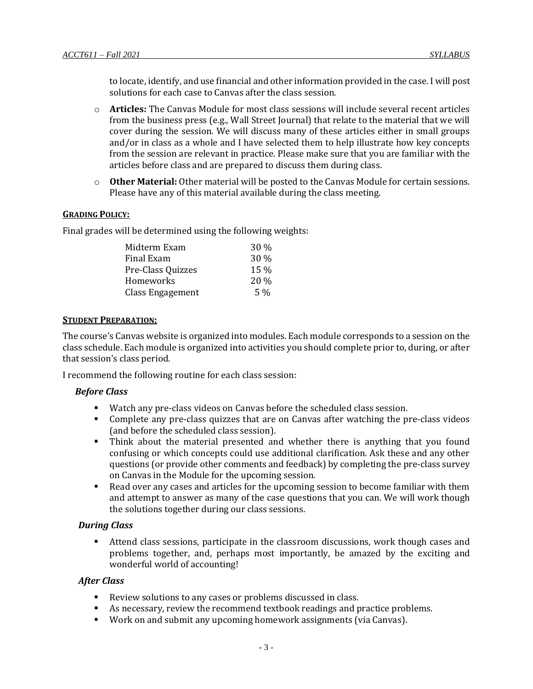to locate, identify, and use financial and other information provided in the case. I will post solutions for each case to Canvas after the class session.

- o **Articles:** The Canvas Module for most class sessions will include several recent articles from the business press (e.g., Wall Street Journal) that relate to the material that we will cover during the session. We will discuss many of these articles either in small groups and/or in class as a whole and I have selected them to help illustrate how key concepts from the session are relevant in practice. Please make sure that you are familiar with the articles before class and are prepared to discuss them during class.
- o **Other Material:** Other material will be posted to the Canvas Module for certain sessions. Please have any of this material available during the class meeting.

## **GRADING POLICY:**

Final grades will be determined using the following weights:

| Midterm Exam      | $30\%$ |
|-------------------|--------|
| Final Exam        | $30\%$ |
| Pre-Class Quizzes | 15 %   |
| Homeworks         | 20%    |
| Class Engagement  | $5\%$  |

#### **STUDENT PREPARATION:**

The course's Canvas website is organized into modules. Each module corresponds to a session on the class schedule. Each module is organized into activities you should complete prior to, during, or after that session's class period.

I recommend the following routine for each class session:

## *Before Class*

- Watch any pre-class videos on Canvas before the scheduled class session.
- **•** Complete any pre-class quizzes that are on Canvas after watching the pre-class videos (and before the scheduled class session).
- Think about the material presented and whether there is anything that you found confusing or which concepts could use additional clarification. Ask these and any other questions (or provide other comments and feedback) by completing the pre-class survey on Canvas in the Module for the upcoming session.
- Read over any cases and articles for the upcoming session to become familiar with them and attempt to answer as many of the case questions that you can. We will work though the solutions together during our class sessions.

## *During Class*

▪ Attend class sessions, participate in the classroom discussions, work though cases and problems together, and, perhaps most importantly, be amazed by the exciting and wonderful world of accounting!

## *After Class*

- Review solutions to any cases or problems discussed in class.
- As necessary, review the recommend textbook readings and practice problems.
- Work on and submit any upcoming homework assignments (via Canvas).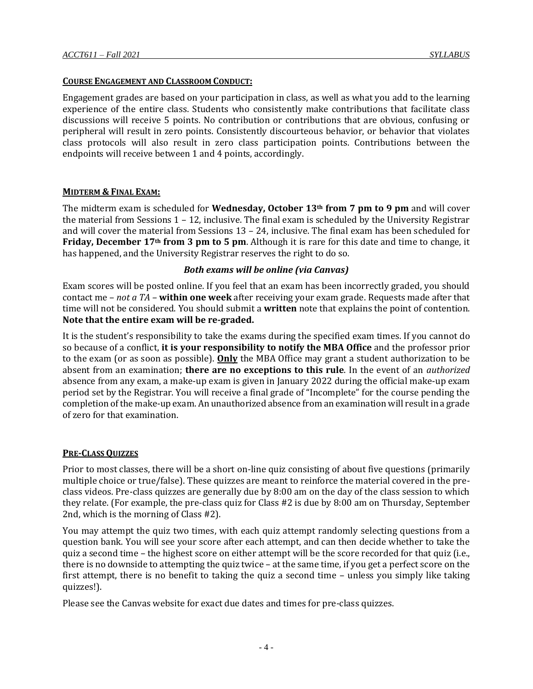# **COURSE ENGAGEMENT AND CLASSROOM CONDUCT:**

Engagement grades are based on your participation in class, as well as what you add to the learning experience of the entire class. Students who consistently make contributions that facilitate class discussions will receive 5 points. No contribution or contributions that are obvious, confusing or peripheral will result in zero points. Consistently discourteous behavior, or behavior that violates class protocols will also result in zero class participation points. Contributions between the endpoints will receive between 1 and 4 points, accordingly.

# **MIDTERM & FINAL EXAM:**

The midterm exam is scheduled for **Wednesday, October 13th from 7 pm to 9 pm** and will cover the material from Sessions 1 – 12, inclusive. The final exam is scheduled by the University Registrar and will cover the material from Sessions 13 – 24, inclusive. The final exam has been scheduled for **Friday, December 17th from 3 pm to 5 pm**. Although it is rare for this date and time to change, it has happened, and the University Registrar reserves the right to do so.

## *Both exams will be online (via Canvas)*

Exam scores will be posted online. If you feel that an exam has been incorrectly graded, you should contact me – *not a TA –* **within one week** after receiving your exam grade. Requests made after that time will not be considered. You should submit a **written** note that explains the point of contention. **Note that the entire exam will be re-graded.**

It is the student's responsibility to take the exams during the specified exam times. If you cannot do so because of a conflict, **it is your responsibility to notify the MBA Office** and the professor prior to the exam (or as soon as possible). **Only** the MBA Office may grant a student authorization to be absent from an examination; **there are no exceptions to this rule**. In the event of an *authorized* absence from any exam, a make-up exam is given in January 2022 during the official make-up exam period set by the Registrar. You will receive a final grade of "Incomplete" for the course pending the completion of the make-up exam. An unauthorized absence from an examination will result in a grade of zero for that examination.

## **PRE-CLASS QUIZZES**

Prior to most classes, there will be a short on-line quiz consisting of about five questions (primarily multiple choice or true/false). These quizzes are meant to reinforce the material covered in the preclass videos. Pre-class quizzes are generally due by 8:00 am on the day of the class session to which they relate. (For example, the pre-class quiz for Class #2 is due by 8:00 am on Thursday, September 2nd, which is the morning of Class #2).

You may attempt the quiz two times, with each quiz attempt randomly selecting questions from a question bank. You will see your score after each attempt, and can then decide whether to take the quiz a second time – the highest score on either attempt will be the score recorded for that quiz (i.e., there is no downside to attempting the quiz twice – at the same time, if you get a perfect score on the first attempt, there is no benefit to taking the quiz a second time – unless you simply like taking quizzes!).

Please see the Canvas website for exact due dates and times for pre-class quizzes.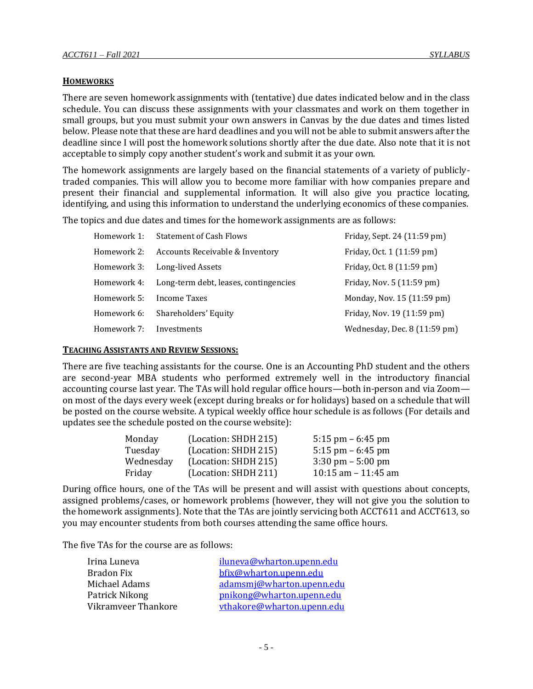## **HOMEWORKS**

There are seven homework assignments with (tentative) due dates indicated below and in the class schedule. You can discuss these assignments with your classmates and work on them together in small groups, but you must submit your own answers in Canvas by the due dates and times listed below. Please note that these are hard deadlines and you will not be able to submit answers after the deadline since I will post the homework solutions shortly after the due date. Also note that it is not acceptable to simply copy another student's work and submit it as your own.

The homework assignments are largely based on the financial statements of a variety of publiclytraded companies. This will allow you to become more familiar with how companies prepare and present their financial and supplemental information. It will also give you practice locating, identifying, and using this information to understand the underlying economics of these companies.

The topics and due dates and times for the homework assignments are as follows:

| Homework 1: | <b>Statement of Cash Flows</b>        | Friday, Sept. 24 (11:59 pm)  |
|-------------|---------------------------------------|------------------------------|
| Homework 2: | Accounts Receivable & Inventory       | Friday, Oct. 1 (11:59 pm)    |
| Homework 3: | Long-lived Assets                     | Friday, Oct. 8 (11:59 pm)    |
| Homework 4: | Long-term debt, leases, contingencies | Friday, Nov. 5 (11:59 pm)    |
| Homework 5: | Income Taxes                          | Monday, Nov. 15 (11:59 pm)   |
| Homework 6: | Shareholders' Equity                  | Friday, Nov. 19 (11:59 pm)   |
| Homework 7: | Investments                           | Wednesday, Dec. 8 (11:59 pm) |

## **TEACHING ASSISTANTS AND REVIEW SESSIONS:**

There are five teaching assistants for the course. One is an Accounting PhD student and the others are second-year MBA students who performed extremely well in the introductory financial accounting course last year. The TAs will hold regular office hours—both in-person and via Zoom on most of the days every week (except during breaks or for holidays) based on a schedule that will be posted on the course website. A typical weekly office hour schedule is as follows (For details and updates see the schedule posted on the course website):

| Monday    | (Location: SHDH 215) | 5:15 pm $-6:45$ pm                  |
|-----------|----------------------|-------------------------------------|
| Tuesday   | (Location: SHDH 215) | 5:15 pm $-6:45$ pm                  |
| Wednesday | (Location: SHDH 215) | $3:30 \text{ pm} - 5:00 \text{ pm}$ |
| Friday    | (Location: SHDH 211) | 10:15 am $-$ 11:45 am               |

During office hours, one of the TAs will be present and will assist with questions about concepts, assigned problems/cases, or homework problems (however, they will not give you the solution to the homework assignments). Note that the TAs are jointly servicing both ACCT611 and ACCT613, so you may encounter students from both courses attending the same office hours.

The five TAs for the course are as follows:

| Irina Luneva        | iluneva@wharton.upenn.edu  |
|---------------------|----------------------------|
| Bradon Fix          | bfix@wharton.upenn.edu     |
| Michael Adams       | adamsmj@wharton.upenn.edu  |
| Patrick Nikong      | pnikong@wharton.upenn.edu  |
| Vikramveer Thankore | vthakore@wharton.upenn.edu |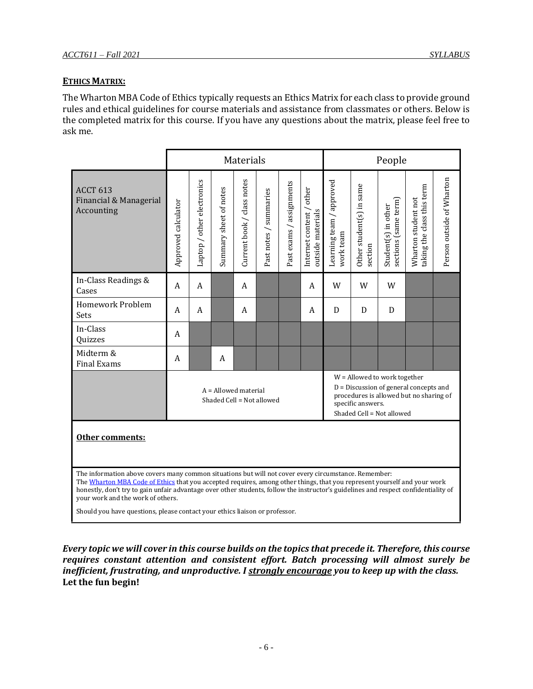## **ETHICS MATRIX:**

The Wharton MBA Code of Ethics typically requests an Ethics Matrix for each class to provide ground rules and ethical guidelines for course materials and assistance from classmates or others. Below is the completed matrix for this course. If you have any questions about the matrix, please feel free to ask me.

|                                                                                                                                                                                                                                                                                                                                                                                                                                                                                            | Materials                                                                                                                                                                                                                    |                            |                        | People                     |                        |                             |                                               |                                       |                                     |                                             |                                                   |                           |
|--------------------------------------------------------------------------------------------------------------------------------------------------------------------------------------------------------------------------------------------------------------------------------------------------------------------------------------------------------------------------------------------------------------------------------------------------------------------------------------------|------------------------------------------------------------------------------------------------------------------------------------------------------------------------------------------------------------------------------|----------------------------|------------------------|----------------------------|------------------------|-----------------------------|-----------------------------------------------|---------------------------------------|-------------------------------------|---------------------------------------------|---------------------------------------------------|---------------------------|
| <b>ACCT 613</b><br>Financial & Managerial<br>Accounting                                                                                                                                                                                                                                                                                                                                                                                                                                    | Approved calculator                                                                                                                                                                                                          | Laptop / other electronics | Summary sheet of notes | Current book / class notes | Past notes / summaries | / assignments<br>Past exams | Internet content / other<br>outside materials | Learning team / approved<br>work team | Other student(s) in same<br>section | sections (same term)<br>Student(s) in other | taking the class this term<br>Wharton student not | Person outside of Wharton |
| In-Class Readings &<br>Cases                                                                                                                                                                                                                                                                                                                                                                                                                                                               | A                                                                                                                                                                                                                            | A                          |                        | A                          |                        |                             | A                                             | W                                     | W                                   | W                                           |                                                   |                           |
| Homework Problem<br>Sets                                                                                                                                                                                                                                                                                                                                                                                                                                                                   | A                                                                                                                                                                                                                            | A                          |                        | A                          |                        |                             | A                                             | D                                     | D                                   | D                                           |                                                   |                           |
| In-Class<br>Quizzes                                                                                                                                                                                                                                                                                                                                                                                                                                                                        | A                                                                                                                                                                                                                            |                            |                        |                            |                        |                             |                                               |                                       |                                     |                                             |                                                   |                           |
| Midterm &<br><b>Final Exams</b>                                                                                                                                                                                                                                                                                                                                                                                                                                                            | A                                                                                                                                                                                                                            |                            | A                      |                            |                        |                             |                                               |                                       |                                     |                                             |                                                   |                           |
|                                                                                                                                                                                                                                                                                                                                                                                                                                                                                            | W = Allowed to work together<br>$D =$ Discussion of general concepts and<br>$A =$ Allowed material<br>procedures is allowed but no sharing of<br>Shaded Cell = Not allowed<br>specific answers.<br>Shaded Cell = Not allowed |                            |                        |                            |                        |                             |                                               |                                       |                                     |                                             |                                                   |                           |
| Other comments:                                                                                                                                                                                                                                                                                                                                                                                                                                                                            |                                                                                                                                                                                                                              |                            |                        |                            |                        |                             |                                               |                                       |                                     |                                             |                                                   |                           |
| The information above covers many common situations but will not cover every circumstance. Remember:<br>The Wharton MBA Code of Ethics that you accepted requires, among other things, that you represent yourself and your work<br>honestly, don't try to gain unfair advantage over other students, follow the instructor's guidelines and respect confidentiality of<br>your work and the work of others.<br>Should you have questions, please contact your ethics liaison or professor |                                                                                                                                                                                                                              |                            |                        |                            |                        |                             |                                               |                                       |                                     |                                             |                                                   |                           |

Should you have questions, please contact your ethics liaison or professor.

*Every topic we will cover in this course builds on the topics that precede it. Therefore, this course requires constant attention and consistent effort. Batch processing will almost surely be inefficient, frustrating, and unproductive. I strongly encourage you to keep up with the class.*  **Let the fun begin!**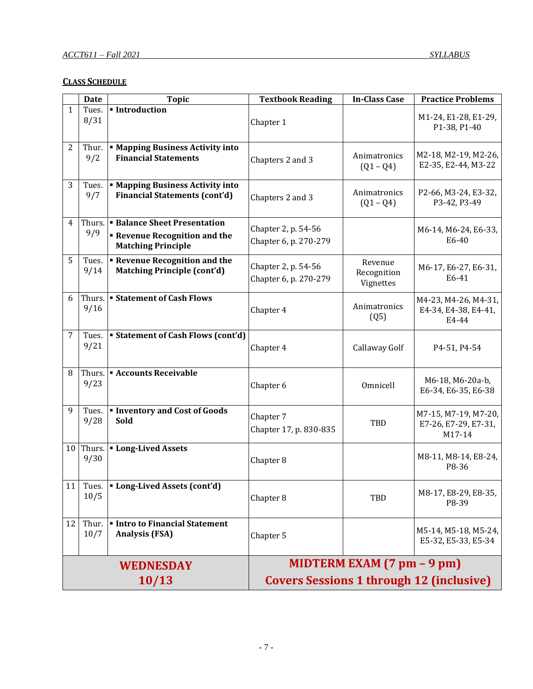# **CLASS SCHEDULE**

|              | <b>Date</b>         | <b>Topic</b>                                                                                           | <b>Textbook Reading</b>                         | <b>In-Class Case</b>                | <b>Practice Problems</b>                               |  |  |
|--------------|---------------------|--------------------------------------------------------------------------------------------------------|-------------------------------------------------|-------------------------------------|--------------------------------------------------------|--|--|
| $\mathbf{1}$ | Tues.<br>8/31       | Introduction                                                                                           | Chapter 1                                       |                                     | M1-24, E1-28, E1-29,<br>P1-38, P1-40                   |  |  |
| 2            | Thur.<br>9/2        | <b>■ Mapping Business Activity into</b><br><b>Financial Statements</b>                                 | Chapters 2 and 3                                | Animatronics<br>$(Q1 - Q4)$         | M2-18, M2-19, M2-26,<br>E2-35, E2-44, M3-22            |  |  |
| 3            | Tues.<br>9/7        | <b>In Mapping Business Activity into</b><br><b>Financial Statements (cont'd)</b>                       | Chapters 2 and 3                                | Animatronics<br>$(Q1 - Q4)$         | P2-66, M3-24, E3-32,<br>P3-42, P3-49                   |  |  |
| 4            | 9/9                 | Thurs.   Balance Sheet Presentation<br><b>Revenue Recognition and the</b><br><b>Matching Principle</b> | Chapter 2, p. 54-56<br>Chapter 6, p. 270-279    |                                     | M6-14, M6-24, E6-33,<br>E6-40                          |  |  |
| 5            | Tues.<br>9/14       | <b>Revenue Recognition and the</b><br><b>Matching Principle (cont'd)</b>                               | Chapter 2, p. 54-56<br>Chapter 6, p. 270-279    | Revenue<br>Recognition<br>Vignettes | M6-17, E6-27, E6-31,<br>E6-41                          |  |  |
| 6            | 9/16                | Thurs. Flows Statement of Cash Flows                                                                   | Chapter 4                                       | Animatronics<br>(Q5)                | M4-23, M4-26, M4-31,<br>E4-34, E4-38, E4-41,<br>E4-44  |  |  |
| 7            | Tues.<br>9/21       | <b>Statement of Cash Flows (cont'd)</b>                                                                | Chapter 4                                       | Callaway Golf                       | P4-51, P4-54                                           |  |  |
| 8            | Thurs.<br>9/23      | <b>Accounts Receivable</b>                                                                             | Chapter 6                                       | Omnicell                            | M6-18, M6-20a-b,<br>E6-34, E6-35, E6-38                |  |  |
| 9            | Tues.<br>9/28       | <b>Inventory and Cost of Goods</b><br>Sold                                                             | Chapter 7<br>Chapter 17, p. 830-835             | TBD                                 | M7-15, M7-19, M7-20,<br>E7-26, E7-29, E7-31,<br>M17-14 |  |  |
|              | $10$ Thurs.<br>9/30 | <b>Long-Lived Assets</b>                                                                               | Chapter 8                                       |                                     | M8-11, M8-14, E8-24,<br>P8-36                          |  |  |
| 11           | Tues.<br>10/5       | Long-Lived Assets (cont'd)                                                                             | Chapter 8                                       | TBD                                 | M8-17, E8-29, E8-35,<br>P8-39                          |  |  |
| 12           | Thur.<br>10/7       | <b>Intro to Financial Statement</b><br><b>Analysis (FSA)</b>                                           | Chapter 5                                       |                                     | M5-14, M5-18, M5-24,<br>E5-32, E5-33, E5-34            |  |  |
|              |                     | <b>WEDNESDAY</b>                                                                                       | MIDTERM EXAM $(7 \text{ pm} - 9 \text{ pm})$    |                                     |                                                        |  |  |
|              |                     | 10/13                                                                                                  | <b>Covers Sessions 1 through 12 (inclusive)</b> |                                     |                                                        |  |  |